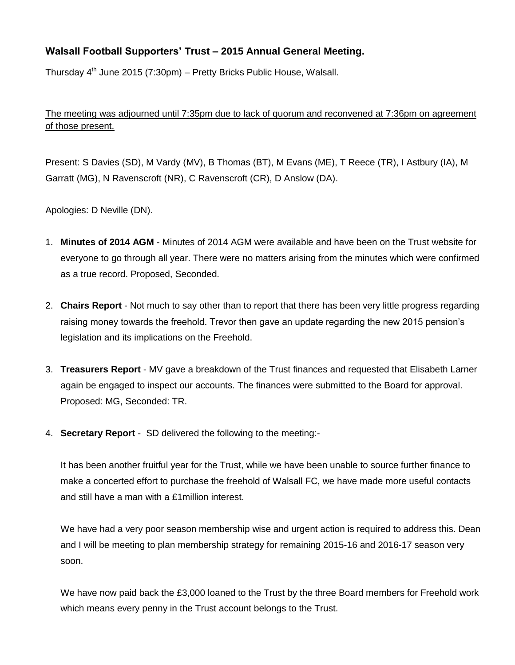## **Walsall Football Supporters' Trust – 2015 Annual General Meeting.**

Thursday 4<sup>th</sup> June 2015 (7:30pm) – Pretty Bricks Public House, Walsall.

The meeting was adjourned until 7:35pm due to lack of quorum and reconvened at 7:36pm on agreement of those present.

Present: S Davies (SD), M Vardy (MV), B Thomas (BT), M Evans (ME), T Reece (TR), I Astbury (IA), M Garratt (MG), N Ravenscroft (NR), C Ravenscroft (CR), D Anslow (DA).

Apologies: D Neville (DN).

- 1. **Minutes of 2014 AGM** Minutes of 2014 AGM were available and have been on the Trust website for everyone to go through all year. There were no matters arising from the minutes which were confirmed as a true record. Proposed, Seconded.
- 2. **Chairs Report** Not much to say other than to report that there has been very little progress regarding raising money towards the freehold. Trevor then gave an update regarding the new 2015 pension's legislation and its implications on the Freehold.
- 3. **Treasurers Report** MV gave a breakdown of the Trust finances and requested that Elisabeth Larner again be engaged to inspect our accounts. The finances were submitted to the Board for approval. Proposed: MG, Seconded: TR.
- 4. **Secretary Report** SD delivered the following to the meeting:-

It has been another fruitful year for the Trust, while we have been unable to source further finance to make a concerted effort to purchase the freehold of Walsall FC, we have made more useful contacts and still have a man with a £1million interest.

We have had a very poor season membership wise and urgent action is required to address this. Dean and I will be meeting to plan membership strategy for remaining 2015-16 and 2016-17 season very soon.

We have now paid back the £3,000 loaned to the Trust by the three Board members for Freehold work which means every penny in the Trust account belongs to the Trust.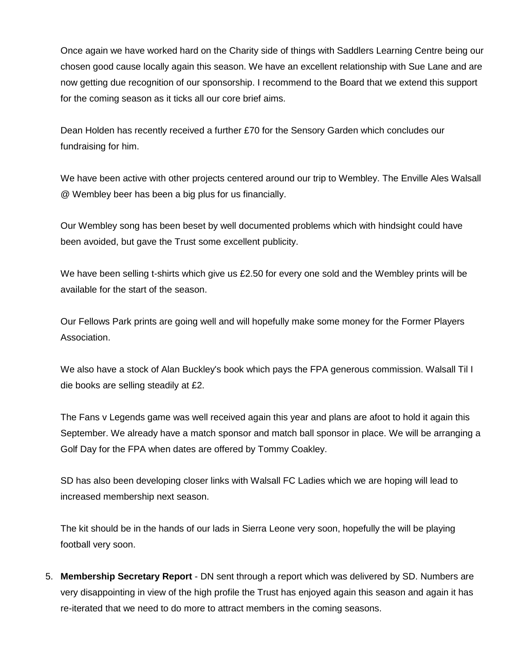Once again we have worked hard on the Charity side of things with Saddlers Learning Centre being our chosen good cause locally again this season. We have an excellent relationship with Sue Lane and are now getting due recognition of our sponsorship. I recommend to the Board that we extend this support for the coming season as it ticks all our core brief aims.

Dean Holden has recently received a further £70 for the Sensory Garden which concludes our fundraising for him.

We have been active with other projects centered around our trip to Wembley. The Enville Ales Walsall @ Wembley beer has been a big plus for us financially.

Our Wembley song has been beset by well documented problems which with hindsight could have been avoided, but gave the Trust some excellent publicity.

We have been selling t-shirts which give us £2.50 for every one sold and the Wembley prints will be available for the start of the season.

Our Fellows Park prints are going well and will hopefully make some money for the Former Players Association.

We also have a stock of Alan Buckley's book which pays the FPA generous commission. Walsall Til I die books are selling steadily at £2.

The Fans v Legends game was well received again this year and plans are afoot to hold it again this September. We already have a match sponsor and match ball sponsor in place. We will be arranging a Golf Day for the FPA when dates are offered by Tommy Coakley.

SD has also been developing closer links with Walsall FC Ladies which we are hoping will lead to increased membership next season.

The kit should be in the hands of our lads in Sierra Leone very soon, hopefully the will be playing football very soon.

5. **Membership Secretary Report** - DN sent through a report which was delivered by SD. Numbers are very disappointing in view of the high profile the Trust has enjoyed again this season and again it has re-iterated that we need to do more to attract members in the coming seasons.